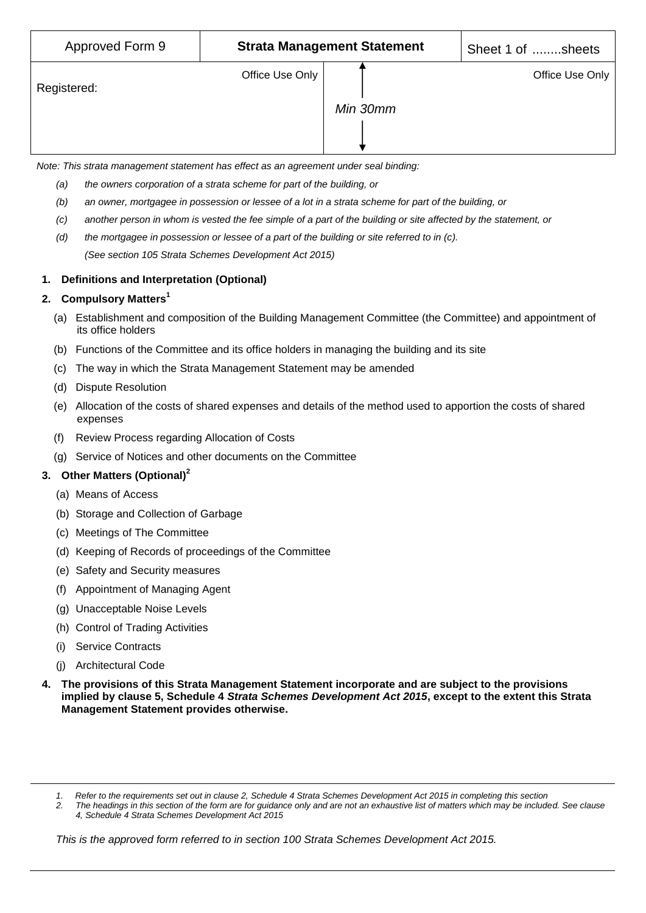| Approved Form 9 | <b>Strata Management Statement</b> |          | Sheet 1 of sheets |
|-----------------|------------------------------------|----------|-------------------|
| Registered:     | Office Use Only                    | Min 30mm | Office Use Only   |

*Note: This strata management statement has effect as an agreement under seal binding:*

- *(a) the owners corporation of a strata scheme for part of the building, or*
- *(b) an owner, mortgagee in possession or lessee of a lot in a strata scheme for part of the building, or*
- *(c) another person in whom is vested the fee simple of a part of the building or site affected by the statement, or*
- *(d) the mortgagee in possession or lessee of a part of the building or site referred to in (c). (See section 105 Strata Schemes Development Act 2015)*

## **1. Definitions and Interpretation (Optional)**

## **2. Compulsory Matters<sup>1</sup>**

- (a) Establishment and composition of the Building Management Committee (the Committee) and appointment of its office holders
- (b) Functions of the Committee and its office holders in managing the building and its site
- (c) The way in which the Strata Management Statement may be amended
- (d) Dispute Resolution
- (e) Allocation of the costs of shared expenses and details of the method used to apportion the costs of shared expenses
- (f) Review Process regarding Allocation of Costs
- (g) Service of Notices and other documents on the Committee

## **3. Other Matters (Optional)<sup>2</sup>**

- (a) Means of Access
- (b) Storage and Collection of Garbage
- (c) Meetings of The Committee
- (d) Keeping of Records of proceedings of the Committee
- (e) Safety and Security measures
- (f) Appointment of Managing Agent
- (g) Unacceptable Noise Levels
- (h) Control of Trading Activities
- (i) Service Contracts
- (j) Architectural Code
- **4. The provisions of this Strata Management Statement incorporate and are subject to the provisions implied by clause 5, Schedule 4** *Strata Schemes Development Act 2015***, except to the extent this Strata Management Statement provides otherwise.**
	- *1. Refer to the requirements set out in clause 2, Schedule 4 Strata Schemes Development Act 2015 in completing this section*
	- *2. The headings in this section of the form are for guidance only and are not an exhaustive list of matters which may be included. See clause 4, Schedule 4 Strata Schemes Development Act 2015*

*This is the approved form referred to in section 100 Strata Schemes Development Act 2015.*